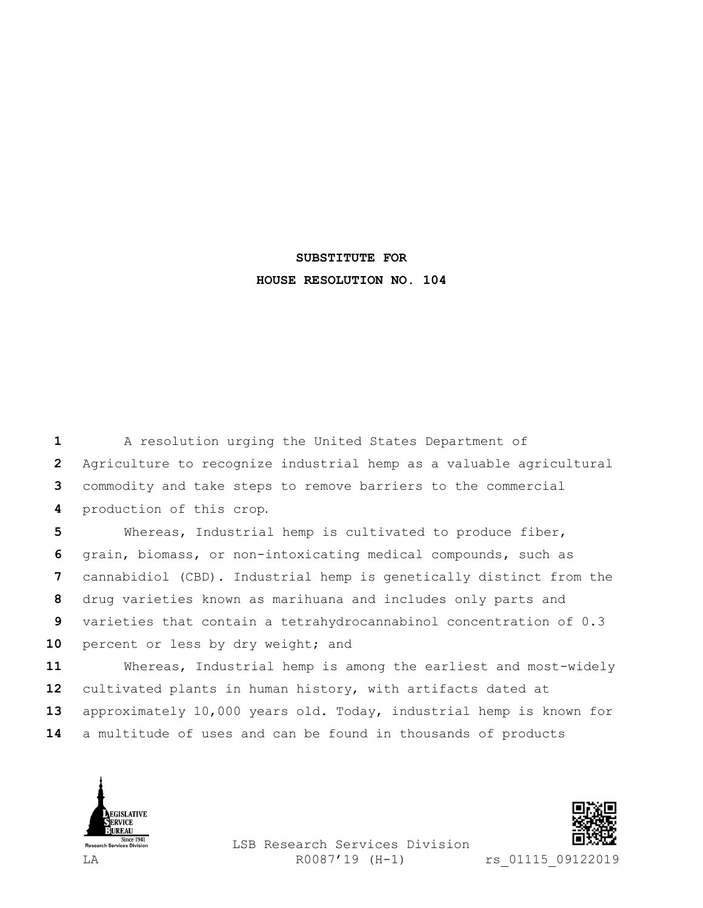## **SUBSTITUTE FOR HOUSE RESOLUTION NO. 104**

 A resolution urging the United States Department of Agriculture to recognize industrial hemp as a valuable agricultural commodity and take steps to remove barriers to the commercial production of this crop.

 Whereas, Industrial hemp is cultivated to produce fiber, grain, biomass, or non-intoxicating medical compounds, such as cannabidiol (CBD). Industrial hemp is genetically distinct from the drug varieties known as marihuana and includes only parts and varieties that contain a tetrahydrocannabinol concentration of 0.3 10 percent or less by dry weight; and

 Whereas, Industrial hemp is among the earliest and most-widely cultivated plants in human history, with artifacts dated at approximately 10,000 years old. Today, industrial hemp is known for a multitude of uses and can be found in thousands of products





LSB Research Services Division LA R0087'19 (H-1) rs 01115 09122019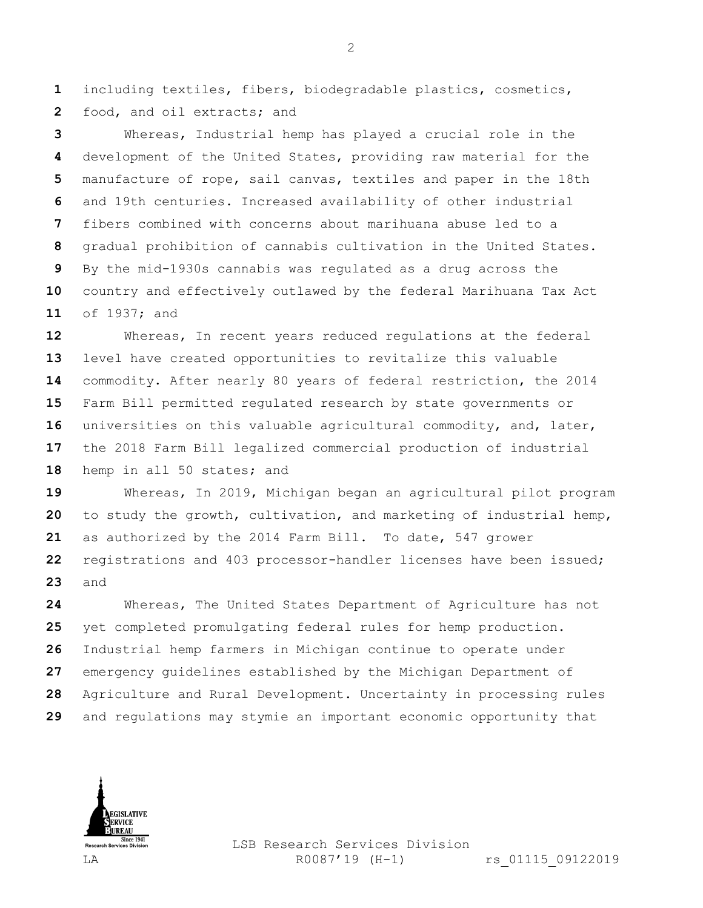including textiles, fibers, biodegradable plastics, cosmetics, food, and oil extracts; and

 Whereas, Industrial hemp has played a crucial role in the development of the United States, providing raw material for the manufacture of rope, sail canvas, textiles and paper in the 18th and 19th centuries. Increased availability of other industrial fibers combined with concerns about marihuana abuse led to a gradual prohibition of cannabis cultivation in the United States. By the mid-1930s cannabis was regulated as a drug across the country and effectively outlawed by the federal Marihuana Tax Act of 1937; and

 Whereas, In recent years reduced regulations at the federal level have created opportunities to revitalize this valuable commodity. After nearly 80 years of federal restriction, the 2014 Farm Bill permitted regulated research by state governments or universities on this valuable agricultural commodity, and, later, the 2018 Farm Bill legalized commercial production of industrial 18 hemp in all 50 states; and

 Whereas, In 2019, Michigan began an agricultural pilot program to study the growth, cultivation, and marketing of industrial hemp, as authorized by the 2014 Farm Bill. To date, 547 grower registrations and 403 processor-handler licenses have been issued; and

 Whereas, The United States Department of Agriculture has not yet completed promulgating federal rules for hemp production. Industrial hemp farmers in Michigan continue to operate under emergency guidelines established by the Michigan Department of Agriculture and Rural Development. Uncertainty in processing rules and regulations may stymie an important economic opportunity that